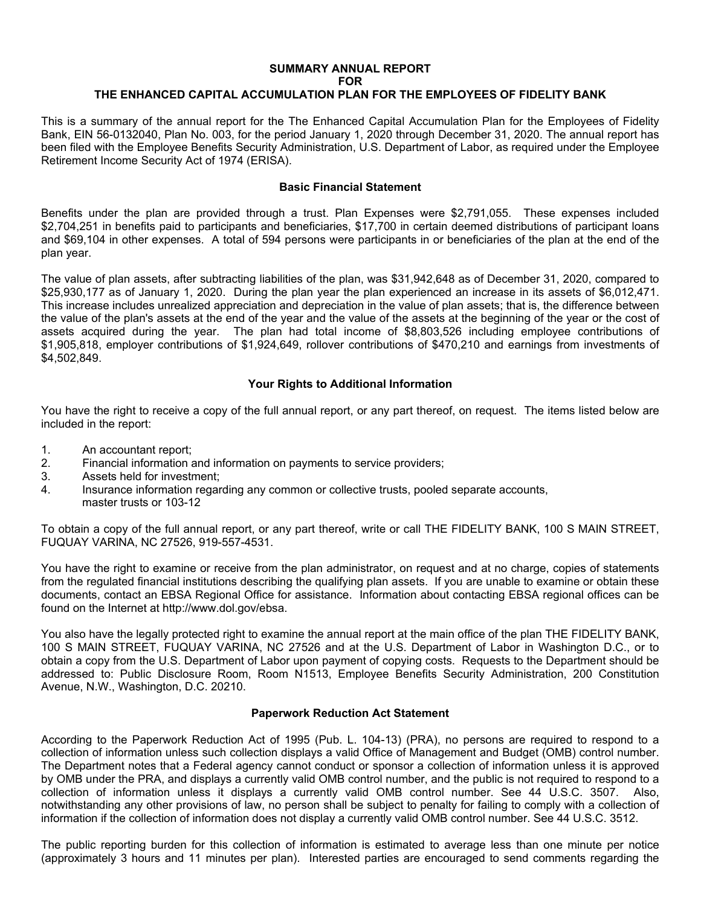## **SUMMARY ANNUAL REPORT FOR**

# **THE ENHANCED CAPITAL ACCUMULATION PLAN FOR THE EMPLOYEES OF FIDELITY BANK**

This is a summary of the annual report for the The Enhanced Capital Accumulation Plan for the Employees of Fidelity Bank, EIN 56-0132040, Plan No. 003, for the period January 1, 2020 through December 31, 2020. The annual report has been filed with the Employee Benefits Security Administration, U.S. Department of Labor, as required under the Employee Retirement Income Security Act of 1974 (ERISA).

#### **Basic Financial Statement**

Benefits under the plan are provided through a trust. Plan Expenses were \$2,791,055. These expenses included \$2,704,251 in benefits paid to participants and beneficiaries, \$17,700 in certain deemed distributions of participant loans and \$69,104 in other expenses. A total of 594 persons were participants in or beneficiaries of the plan at the end of the plan year.

The value of plan assets, after subtracting liabilities of the plan, was \$31,942,648 as of December 31, 2020, compared to \$25,930,177 as of January 1, 2020. During the plan year the plan experienced an increase in its assets of \$6,012,471. This increase includes unrealized appreciation and depreciation in the value of plan assets; that is, the difference between the value of the plan's assets at the end of the year and the value of the assets at the beginning of the year or the cost of assets acquired during the year. The plan had total income of \$8,803,526 including employee contributions of \$1,905,818, employer contributions of \$1,924,649, rollover contributions of \$470,210 and earnings from investments of \$4,502,849.

## **Your Rights to Additional Information**

You have the right to receive a copy of the full annual report, or any part thereof, on request. The items listed below are included in the report:

- 1. An accountant report;
- 2. Financial information and information on payments to service providers;
- 3. Assets held for investment;<br>4. Insurance information regar
- Insurance information regarding any common or collective trusts, pooled separate accounts, master trusts or 103-12

To obtain a copy of the full annual report, or any part thereof, write or call THE FIDELITY BANK, 100 S MAIN STREET, FUQUAY VARINA, NC 27526, 919-557-4531.

You have the right to examine or receive from the plan administrator, on request and at no charge, copies of statements from the regulated financial institutions describing the qualifying plan assets. If you are unable to examine or obtain these documents, contact an EBSA Regional Office for assistance. Information about contacting EBSA regional offices can be found on the Internet at http://www.dol.gov/ebsa.

You also have the legally protected right to examine the annual report at the main office of the plan THE FIDELITY BANK, 100 S MAIN STREET, FUQUAY VARINA, NC 27526 and at the U.S. Department of Labor in Washington D.C., or to obtain a copy from the U.S. Department of Labor upon payment of copying costs. Requests to the Department should be addressed to: Public Disclosure Room, Room N1513, Employee Benefits Security Administration, 200 Constitution Avenue, N.W., Washington, D.C. 20210.

## **Paperwork Reduction Act Statement**

According to the Paperwork Reduction Act of 1995 (Pub. L. 104-13) (PRA), no persons are required to respond to a collection of information unless such collection displays a valid Office of Management and Budget (OMB) control number. The Department notes that a Federal agency cannot conduct or sponsor a collection of information unless it is approved by OMB under the PRA, and displays a currently valid OMB control number, and the public is not required to respond to a collection of information unless it displays a currently valid OMB control number. See 44 U.S.C. 3507. Also, notwithstanding any other provisions of law, no person shall be subject to penalty for failing to comply with a collection of information if the collection of information does not display a currently valid OMB control number. See 44 U.S.C. 3512.

The public reporting burden for this collection of information is estimated to average less than one minute per notice (approximately 3 hours and 11 minutes per plan). Interested parties are encouraged to send comments regarding the